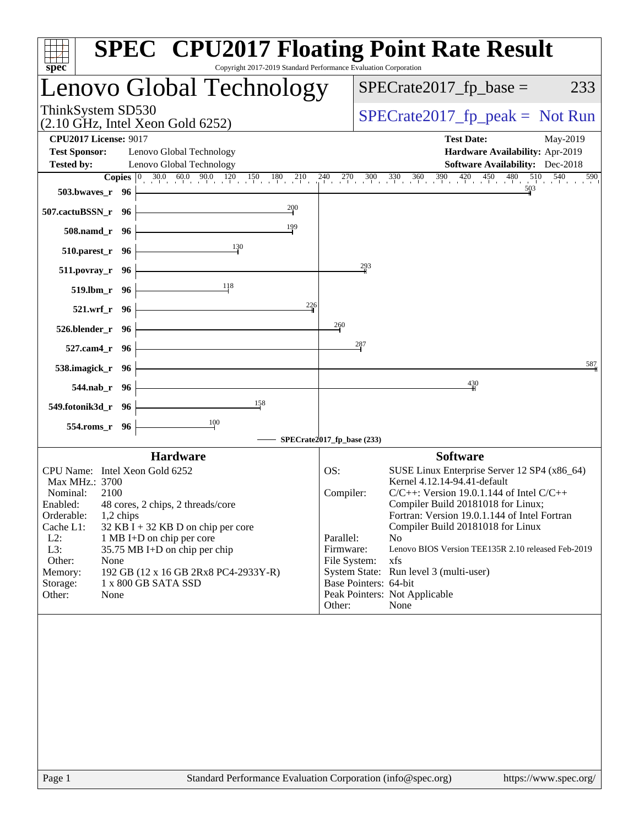| Copyright 2017-2019 Standard Performance Evaluation Corporation<br>$spec^*$                                                       | <b>SPEC<sup>®</sup> CPU2017 Floating Point Rate Result</b>                                                                                                                             |
|-----------------------------------------------------------------------------------------------------------------------------------|----------------------------------------------------------------------------------------------------------------------------------------------------------------------------------------|
| Lenovo Global Technology                                                                                                          | $SPECrate2017_fp\_base =$<br>233                                                                                                                                                       |
| ThinkSystem SD530<br>$(2.10 \text{ GHz}, \text{Intel Xeon Gold } 6252)$                                                           | $SPECrate2017_fp\_peak = Not Run$                                                                                                                                                      |
| <b>CPU2017 License: 9017</b><br><b>Test Sponsor:</b><br>Lenovo Global Technology<br><b>Tested by:</b><br>Lenovo Global Technology | <b>Test Date:</b><br>May-2019<br>Hardware Availability: Apr-2019<br><b>Software Availability:</b> Dec-2018                                                                             |
| <b>Copies</b> $\begin{bmatrix} 0 & 30.0 & 60.0 & 90.0 & 120 & 150 & 180 & 210 \end{bmatrix}$                                      | $\frac{240}{1}$ $\frac{270}{1}$ $\frac{300}{1}$ $\frac{330}{1}$ $\frac{360}{1}$ $\frac{390}{1}$ $\frac{420}{1}$ $\frac{450}{1}$ $\frac{480}{1}$ $\frac{510}{1}$ $\frac{540}{1}$<br>590 |
| 503.bwayes_r 96                                                                                                                   | 503                                                                                                                                                                                    |
| 200<br>507.cactuBSSN_r 96                                                                                                         |                                                                                                                                                                                        |
| 199<br>508.namd_r 96                                                                                                              |                                                                                                                                                                                        |
| 130<br>$510.parest_r$ 96                                                                                                          |                                                                                                                                                                                        |
| $511. povray_r$ 96                                                                                                                | 293                                                                                                                                                                                    |
| 118<br>$519.1 \text{bm} \cdot 96$                                                                                                 |                                                                                                                                                                                        |
| 226<br>521.wrf r 96                                                                                                               |                                                                                                                                                                                        |
| 526.blender_r 96                                                                                                                  | 260                                                                                                                                                                                    |
| 527.cam4_r 96                                                                                                                     | 287                                                                                                                                                                                    |
| 538.imagick_r 96                                                                                                                  | 587                                                                                                                                                                                    |
|                                                                                                                                   | 430                                                                                                                                                                                    |
| 544.nab_r 96<br>158                                                                                                               |                                                                                                                                                                                        |
| 549.fotonik3d_r 96<br>100                                                                                                         |                                                                                                                                                                                        |
| 554.roms_r 96                                                                                                                     | SPECrate2017_fp_base (233)                                                                                                                                                             |
| <b>Hardware</b>                                                                                                                   | <b>Software</b>                                                                                                                                                                        |
| CPU Name: Intel Xeon Gold 6252                                                                                                    | OS:<br>SUSE Linux Enterprise Server 12 SP4 (x86_64)                                                                                                                                    |
| Max MHz.: 3700<br>Nominal:<br>2100                                                                                                | Kernel 4.12.14-94.41-default<br>$C/C++$ : Version 19.0.1.144 of Intel $C/C++$<br>Compiler:                                                                                             |
| Enabled:<br>48 cores, 2 chips, 2 threads/core                                                                                     | Compiler Build 20181018 for Linux;                                                                                                                                                     |
| Orderable:<br>1,2 chips<br>Cache L1:<br>$32$ KB I + 32 KB D on chip per core                                                      | Fortran: Version 19.0.1.144 of Intel Fortran<br>Compiler Build 20181018 for Linux                                                                                                      |
| $L2$ :<br>1 MB I+D on chip per core                                                                                               | Parallel:<br>N <sub>o</sub>                                                                                                                                                            |
| L3:<br>35.75 MB I+D on chip per chip<br>Other:<br>None                                                                            | Lenovo BIOS Version TEE135R 2.10 released Feb-2019<br>Firmware:<br>xfs<br>File System:                                                                                                 |
| Memory:<br>192 GB (12 x 16 GB 2Rx8 PC4-2933Y-R)                                                                                   | System State: Run level 3 (multi-user)                                                                                                                                                 |
| 1 x 800 GB SATA SSD<br>Storage:<br>Other:<br>None                                                                                 | Base Pointers: 64-bit<br>Peak Pointers: Not Applicable                                                                                                                                 |
|                                                                                                                                   | Other:<br>None                                                                                                                                                                         |
|                                                                                                                                   |                                                                                                                                                                                        |
| Page 1                                                                                                                            | Standard Performance Evaluation Corporation (info@spec.org)<br>https://www.spec.org/                                                                                                   |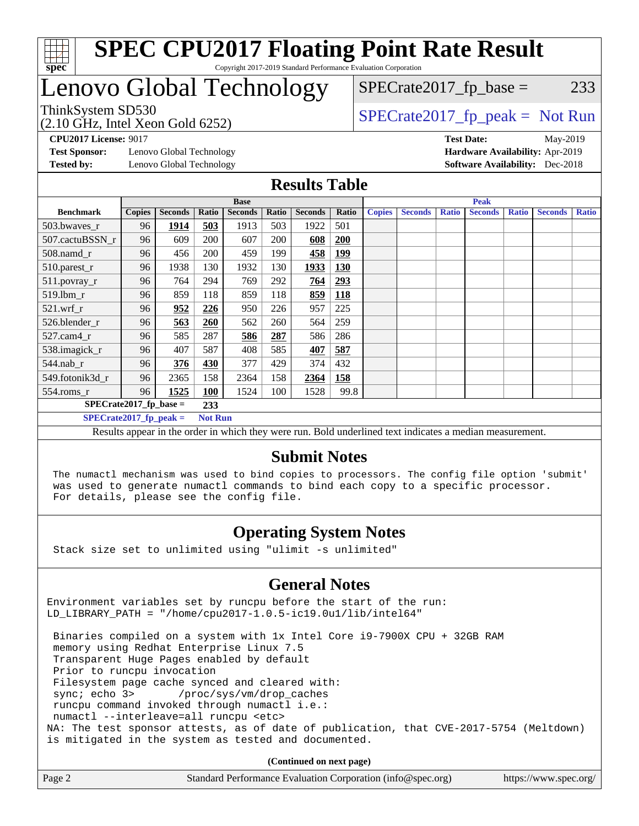

### Lenovo Global Technology

 $SPECTate2017<sub>fr</sub> base = 233$ 

(2.10 GHz, Intel Xeon Gold 6252)

ThinkSystem SD530  $SPECrate2017$  fp\_peak = Not Run

**[Test Sponsor:](http://www.spec.org/auto/cpu2017/Docs/result-fields.html#TestSponsor)** Lenovo Global Technology **[Hardware Availability:](http://www.spec.org/auto/cpu2017/Docs/result-fields.html#HardwareAvailability)** Apr-2019 **[Tested by:](http://www.spec.org/auto/cpu2017/Docs/result-fields.html#Testedby)** Lenovo Global Technology **[Software Availability:](http://www.spec.org/auto/cpu2017/Docs/result-fields.html#SoftwareAvailability)** Dec-2018

**[CPU2017 License:](http://www.spec.org/auto/cpu2017/Docs/result-fields.html#CPU2017License)** 9017 **[Test Date:](http://www.spec.org/auto/cpu2017/Docs/result-fields.html#TestDate)** May-2019

#### **[Results Table](http://www.spec.org/auto/cpu2017/Docs/result-fields.html#ResultsTable)**

|                          | <b>Base</b>   |                |                |                |       |                |            | <b>Peak</b>   |                |              |                |              |                |              |
|--------------------------|---------------|----------------|----------------|----------------|-------|----------------|------------|---------------|----------------|--------------|----------------|--------------|----------------|--------------|
| <b>Benchmark</b>         | <b>Copies</b> | <b>Seconds</b> | Ratio          | <b>Seconds</b> | Ratio | <b>Seconds</b> | Ratio      | <b>Copies</b> | <b>Seconds</b> | <b>Ratio</b> | <b>Seconds</b> | <b>Ratio</b> | <b>Seconds</b> | <b>Ratio</b> |
| 503.bwaves_r             | 96            | 1914           | 503            | 1913           | 503   | 1922           | 501        |               |                |              |                |              |                |              |
| 507.cactuBSSN r          | 96            | 609            | 200            | 607            | 200   | 608            | 200        |               |                |              |                |              |                |              |
| $508$ .namd_r            | 96            | 456            | 200            | 459            | 199   | 458            | <u>199</u> |               |                |              |                |              |                |              |
| 510.parest_r             | 96            | 1938           | 130            | 1932           | 130   | 1933           | 130        |               |                |              |                |              |                |              |
| 511.povray_r             | 96            | 764            | 294            | 769            | 292   | 764            | <u>293</u> |               |                |              |                |              |                |              |
| 519.1bm r                | 96            | 859            | 118            | 859            | 118   | 859            | 118        |               |                |              |                |              |                |              |
| $521.wrf_r$              | 96            | 952            | 226            | 950            | 226   | 957            | 225        |               |                |              |                |              |                |              |
| 526.blender r            | 96            | 563            | 260            | 562            | 260   | 564            | 259        |               |                |              |                |              |                |              |
| $527.cam4_r$             | 96            | 585            | 287            | 586            | 287   | 586            | 286        |               |                |              |                |              |                |              |
| 538.imagick_r            | 96            | 407            | 587            | 408            | 585   | 407            | 587        |               |                |              |                |              |                |              |
| 544.nab r                | 96            | 376            | 430            | 377            | 429   | 374            | 432        |               |                |              |                |              |                |              |
| 549.fotonik3d r          | 96            | 2365           | 158            | 2364           | 158   | 2364           | 158        |               |                |              |                |              |                |              |
| $554$ .roms $r$          | 96            | 1525           | <b>100</b>     | 1524           | 100   | 1528           | 99.8       |               |                |              |                |              |                |              |
| $SPECrate2017$ fp base = |               |                | 233            |                |       |                |            |               |                |              |                |              |                |              |
| $SPECrate2017$ fp peak = |               |                | <b>Not Run</b> |                |       |                |            |               |                |              |                |              |                |              |

Results appear in the [order in which they were run](http://www.spec.org/auto/cpu2017/Docs/result-fields.html#RunOrder). Bold underlined text [indicates a median measurement.](http://www.spec.org/auto/cpu2017/Docs/result-fields.html#Median)

#### **[Submit Notes](http://www.spec.org/auto/cpu2017/Docs/result-fields.html#SubmitNotes)**

 The numactl mechanism was used to bind copies to processors. The config file option 'submit' was used to generate numactl commands to bind each copy to a specific processor. For details, please see the config file.

### **[Operating System Notes](http://www.spec.org/auto/cpu2017/Docs/result-fields.html#OperatingSystemNotes)**

Stack size set to unlimited using "ulimit -s unlimited"

#### **[General Notes](http://www.spec.org/auto/cpu2017/Docs/result-fields.html#GeneralNotes)**

Environment variables set by runcpu before the start of the run: LD\_LIBRARY\_PATH = "/home/cpu2017-1.0.5-ic19.0u1/lib/intel64"

 Binaries compiled on a system with 1x Intel Core i9-7900X CPU + 32GB RAM memory using Redhat Enterprise Linux 7.5 Transparent Huge Pages enabled by default Prior to runcpu invocation Filesystem page cache synced and cleared with: sync; echo 3> /proc/sys/vm/drop\_caches runcpu command invoked through numactl i.e.: numactl --interleave=all runcpu <etc> NA: The test sponsor attests, as of date of publication, that CVE-2017-5754 (Meltdown) is mitigated in the system as tested and documented.

**(Continued on next page)**

| Page 2<br>Standard Performance Evaluation Corporation (info@spec.org)<br>https://www.spec.org/ |
|------------------------------------------------------------------------------------------------|
|------------------------------------------------------------------------------------------------|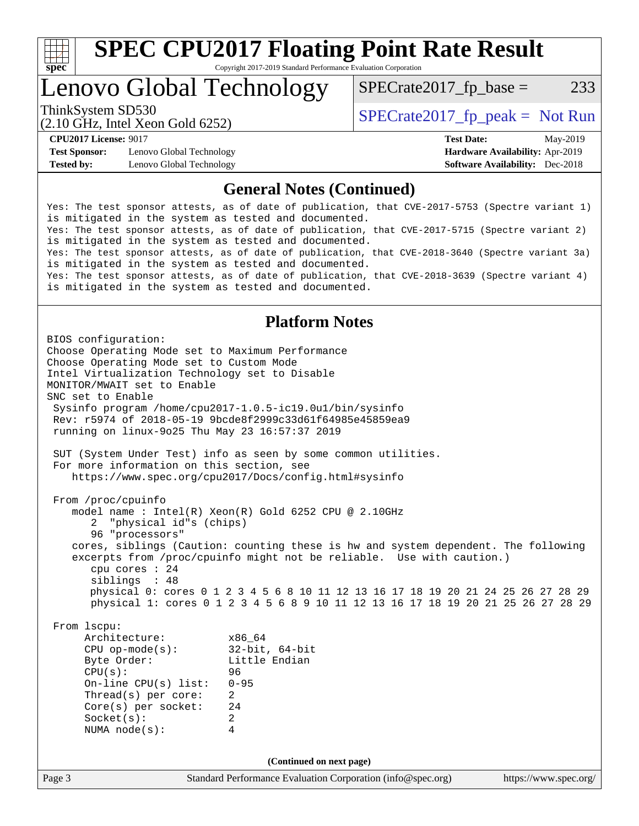

Lenovo Global Technology

ThinkSystem SD530  $SPECrate2017$  fp\_peak = Not Run  $SPECTate2017<sub>fr</sub> base = 233$ 

(2.10 GHz, Intel Xeon Gold 6252)

**[Test Sponsor:](http://www.spec.org/auto/cpu2017/Docs/result-fields.html#TestSponsor)** Lenovo Global Technology **[Hardware Availability:](http://www.spec.org/auto/cpu2017/Docs/result-fields.html#HardwareAvailability)** Apr-2019 **[Tested by:](http://www.spec.org/auto/cpu2017/Docs/result-fields.html#Testedby)** Lenovo Global Technology **[Software Availability:](http://www.spec.org/auto/cpu2017/Docs/result-fields.html#SoftwareAvailability)** Dec-2018

**[CPU2017 License:](http://www.spec.org/auto/cpu2017/Docs/result-fields.html#CPU2017License)** 9017 **[Test Date:](http://www.spec.org/auto/cpu2017/Docs/result-fields.html#TestDate)** May-2019

#### **[General Notes \(Continued\)](http://www.spec.org/auto/cpu2017/Docs/result-fields.html#GeneralNotes)**

Yes: The test sponsor attests, as of date of publication, that CVE-2017-5753 (Spectre variant 1) is mitigated in the system as tested and documented. Yes: The test sponsor attests, as of date of publication, that CVE-2017-5715 (Spectre variant 2) is mitigated in the system as tested and documented. Yes: The test sponsor attests, as of date of publication, that CVE-2018-3640 (Spectre variant 3a) is mitigated in the system as tested and documented. Yes: The test sponsor attests, as of date of publication, that CVE-2018-3639 (Spectre variant 4) is mitigated in the system as tested and documented.

### **[Platform Notes](http://www.spec.org/auto/cpu2017/Docs/result-fields.html#PlatformNotes)**

Page 3 Standard Performance Evaluation Corporation [\(info@spec.org\)](mailto:info@spec.org) <https://www.spec.org/> BIOS configuration: Choose Operating Mode set to Maximum Performance Choose Operating Mode set to Custom Mode Intel Virtualization Technology set to Disable MONITOR/MWAIT set to Enable SNC set to Enable Sysinfo program /home/cpu2017-1.0.5-ic19.0u1/bin/sysinfo Rev: r5974 of 2018-05-19 9bcde8f2999c33d61f64985e45859ea9 running on linux-9o25 Thu May 23 16:57:37 2019 SUT (System Under Test) info as seen by some common utilities. For more information on this section, see <https://www.spec.org/cpu2017/Docs/config.html#sysinfo> From /proc/cpuinfo model name : Intel(R) Xeon(R) Gold 6252 CPU @ 2.10GHz 2 "physical id"s (chips) 96 "processors" cores, siblings (Caution: counting these is hw and system dependent. The following excerpts from /proc/cpuinfo might not be reliable. Use with caution.) cpu cores : 24 siblings : 48 physical 0: cores 0 1 2 3 4 5 6 8 10 11 12 13 16 17 18 19 20 21 24 25 26 27 28 29 physical 1: cores 0 1 2 3 4 5 6 8 9 10 11 12 13 16 17 18 19 20 21 25 26 27 28 29 From lscpu: Architecture: x86\_64 CPU op-mode(s): 32-bit, 64-bit Byte Order: Little Endian CPU(s): 96 On-line CPU(s) list: 0-95 Thread(s) per core: 2 Core(s) per socket: 24 Socket(s): 2 NUMA node(s): 4 **(Continued on next page)**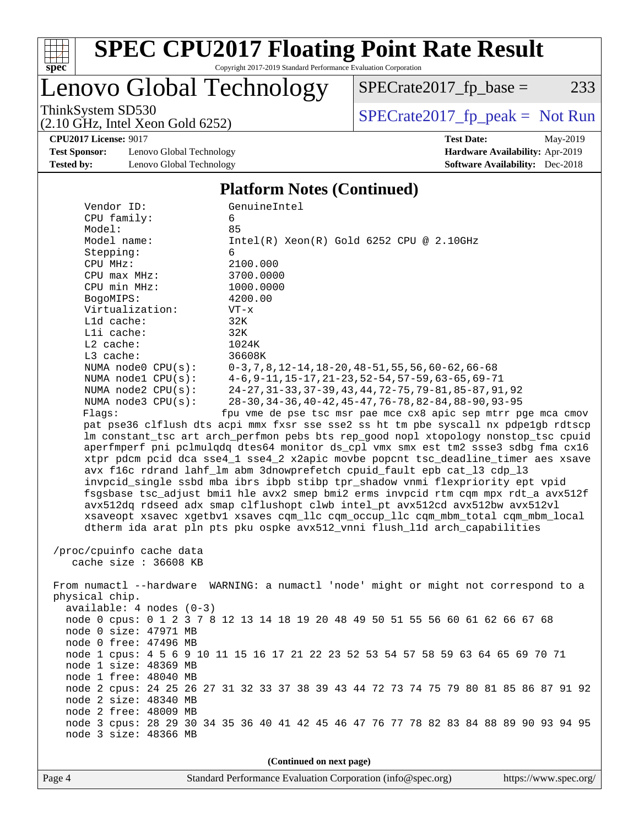

# **[SPEC CPU2017 Floating Point Rate Result](http://www.spec.org/auto/cpu2017/Docs/result-fields.html#SPECCPU2017FloatingPointRateResult)**

Copyright 2017-2019 Standard Performance Evaluation Corporation

Lenovo Global Technology

 $SPECTate2017_fp\_base = 233$ 

(2.10 GHz, Intel Xeon Gold 6252)

ThinkSystem SD530<br>  $(2.10 \text{ GHz})$  Intel Xeon Gold 6252)

**[CPU2017 License:](http://www.spec.org/auto/cpu2017/Docs/result-fields.html#CPU2017License)** 9017 **[Test Date:](http://www.spec.org/auto/cpu2017/Docs/result-fields.html#TestDate)** May-2019

**[Test Sponsor:](http://www.spec.org/auto/cpu2017/Docs/result-fields.html#TestSponsor)** Lenovo Global Technology **[Hardware Availability:](http://www.spec.org/auto/cpu2017/Docs/result-fields.html#HardwareAvailability)** Apr-2019 **[Tested by:](http://www.spec.org/auto/cpu2017/Docs/result-fields.html#Testedby)** Lenovo Global Technology **[Software Availability:](http://www.spec.org/auto/cpu2017/Docs/result-fields.html#SoftwareAvailability)** Dec-2018

**[Platform Notes \(Continued\)](http://www.spec.org/auto/cpu2017/Docs/result-fields.html#PlatformNotes)**

| $\blacksquare$ introduit 1,0000 (Continued)                                          |                                                                                      |  |  |  |  |  |
|--------------------------------------------------------------------------------------|--------------------------------------------------------------------------------------|--|--|--|--|--|
| Vendor ID:<br>GenuineIntel                                                           |                                                                                      |  |  |  |  |  |
| CPU family:                                                                          | 6                                                                                    |  |  |  |  |  |
| Model:                                                                               | 85                                                                                   |  |  |  |  |  |
| Model name:                                                                          | $Intel(R) Xeon(R) Gold 6252 CPU @ 2.10GHz$                                           |  |  |  |  |  |
| Stepping:                                                                            | 6                                                                                    |  |  |  |  |  |
| CPU MHz:                                                                             | 2100.000                                                                             |  |  |  |  |  |
| $CPU$ $max$ $MHz$ :                                                                  | 3700.0000                                                                            |  |  |  |  |  |
| CPU min MHz:                                                                         | 1000.0000                                                                            |  |  |  |  |  |
| BogoMIPS:                                                                            | 4200.00                                                                              |  |  |  |  |  |
| Virtualization:                                                                      | $VT - x$                                                                             |  |  |  |  |  |
| L1d cache:                                                                           | 32K                                                                                  |  |  |  |  |  |
| Lli cache:                                                                           | 32K                                                                                  |  |  |  |  |  |
| $L2$ cache:                                                                          | 1024K                                                                                |  |  |  |  |  |
| L3 cache:                                                                            | 36608K                                                                               |  |  |  |  |  |
| NUMA $node0$ $CPU(s)$ :                                                              | $0-3, 7, 8, 12-14, 18-20, 48-51, 55, 56, 60-62, 66-68$                               |  |  |  |  |  |
| NUMA $node1$ $CPU(s)$ :                                                              | $4-6, 9-11, 15-17, 21-23, 52-54, 57-59, 63-65, 69-71$                                |  |  |  |  |  |
| NUMA $node2$ $CPU(s):$                                                               | 24-27, 31-33, 37-39, 43, 44, 72-75, 79-81, 85-87, 91, 92                             |  |  |  |  |  |
| NUMA node3 CPU(s):                                                                   | 28-30, 34-36, 40-42, 45-47, 76-78, 82-84, 88-90, 93-95                               |  |  |  |  |  |
| Flags:                                                                               | fpu vme de pse tsc msr pae mce cx8 apic sep mtrr pge mca cmov                        |  |  |  |  |  |
|                                                                                      | pat pse36 clflush dts acpi mmx fxsr sse sse2 ss ht tm pbe syscall nx pdpelgb rdtscp  |  |  |  |  |  |
|                                                                                      | lm constant_tsc art arch_perfmon pebs bts rep_good nopl xtopology nonstop_tsc cpuid  |  |  |  |  |  |
|                                                                                      | aperfmperf pni pclmulqdq dtes64 monitor ds_cpl vmx smx est tm2 ssse3 sdbg fma cx16   |  |  |  |  |  |
|                                                                                      | xtpr pdcm pcid dca sse4_1 sse4_2 x2apic movbe popcnt tsc_deadline_timer aes xsave    |  |  |  |  |  |
|                                                                                      | avx f16c rdrand lahf_lm abm 3dnowprefetch cpuid_fault epb cat_13 cdp_13              |  |  |  |  |  |
|                                                                                      | invpcid_single ssbd mba ibrs ibpb stibp tpr_shadow vnmi flexpriority ept vpid        |  |  |  |  |  |
|                                                                                      | fsgsbase tsc_adjust bmil hle avx2 smep bmi2 erms invpcid rtm cqm mpx rdt_a avx512f   |  |  |  |  |  |
|                                                                                      | avx512dq rdseed adx smap clflushopt clwb intel_pt avx512cd avx512bw avx512vl         |  |  |  |  |  |
|                                                                                      | xsaveopt xsavec xgetbvl xsaves cqm_llc cqm_occup_llc cqm_mbm_total cqm_mbm_local     |  |  |  |  |  |
|                                                                                      | dtherm ida arat pln pts pku ospke avx512_vnni flush_lld arch_capabilities            |  |  |  |  |  |
|                                                                                      |                                                                                      |  |  |  |  |  |
| /proc/cpuinfo cache data                                                             |                                                                                      |  |  |  |  |  |
| cache size $: 36608$ KB                                                              |                                                                                      |  |  |  |  |  |
|                                                                                      |                                                                                      |  |  |  |  |  |
| From numactl --hardware WARNING: a numactl 'node' might or might not correspond to a |                                                                                      |  |  |  |  |  |
| physical chip.                                                                       |                                                                                      |  |  |  |  |  |
| $available: 4 nodes (0-3)$                                                           |                                                                                      |  |  |  |  |  |
|                                                                                      | node 0 cpus: 0 1 2 3 7 8 12 13 14 18 19 20 48 49 50 51 55 56 60 61 62 66 67 68       |  |  |  |  |  |
| node 0 size: 47971 MB                                                                |                                                                                      |  |  |  |  |  |
| node 0 free: 47496 MB                                                                |                                                                                      |  |  |  |  |  |
|                                                                                      | node 1 cpus: 4 5 6 9 10 11 15 16 17 21 22 23 52 53 54 57 58 59 63 64 65 69 70 71     |  |  |  |  |  |
| node 1 size: 48369 MB                                                                |                                                                                      |  |  |  |  |  |
| node 1 free: 48040 MB                                                                |                                                                                      |  |  |  |  |  |
|                                                                                      | node 2 cpus: 24 25 26 27 31 32 33 37 38 39 43 44 72 73 74 75 79 80 81 85 86 87 91 92 |  |  |  |  |  |
| node 2 size: 48340 MB                                                                |                                                                                      |  |  |  |  |  |
| node 2 free: 48009 MB                                                                |                                                                                      |  |  |  |  |  |
|                                                                                      | node 3 cpus: 28 29 30 34 35 36 40 41 42 45 46 47 76 77 78 82 83 84 88 89 90 93 94 95 |  |  |  |  |  |
| node 3 size: 48366 MB                                                                |                                                                                      |  |  |  |  |  |
|                                                                                      |                                                                                      |  |  |  |  |  |
|                                                                                      |                                                                                      |  |  |  |  |  |
| (Continued on next page)                                                             |                                                                                      |  |  |  |  |  |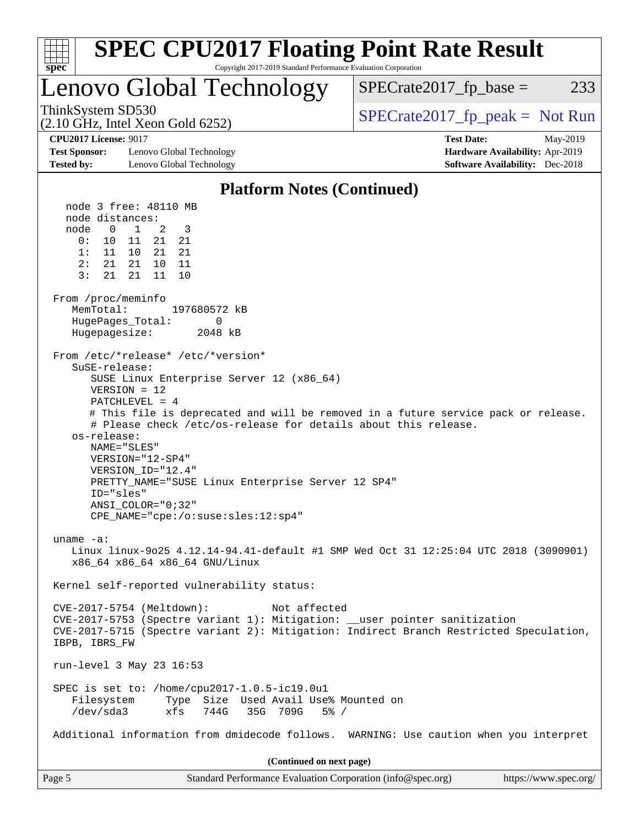| <b>SPEC CPU2017 Floating Point Rate Result</b><br>Copyright 2017-2019 Standard Performance Evaluation Corporation<br>spec <sup>®</sup>                                                                                                                                                                                                                                                                                                                                                                                                                                                                                                                                                                                                                                                                                                                                                                                                                                                                                                                                                                                                                                                                                                                                                                                                                                                                                                                                                                                                                     |                                                                                                            |
|------------------------------------------------------------------------------------------------------------------------------------------------------------------------------------------------------------------------------------------------------------------------------------------------------------------------------------------------------------------------------------------------------------------------------------------------------------------------------------------------------------------------------------------------------------------------------------------------------------------------------------------------------------------------------------------------------------------------------------------------------------------------------------------------------------------------------------------------------------------------------------------------------------------------------------------------------------------------------------------------------------------------------------------------------------------------------------------------------------------------------------------------------------------------------------------------------------------------------------------------------------------------------------------------------------------------------------------------------------------------------------------------------------------------------------------------------------------------------------------------------------------------------------------------------------|------------------------------------------------------------------------------------------------------------|
| Lenovo Global Technology                                                                                                                                                                                                                                                                                                                                                                                                                                                                                                                                                                                                                                                                                                                                                                                                                                                                                                                                                                                                                                                                                                                                                                                                                                                                                                                                                                                                                                                                                                                                   | $SPECrate2017_fp\_base =$<br>233                                                                           |
| ThinkSystem SD530<br>$(2.10 \text{ GHz}, \text{Intel Xeon Gold } 6252)$                                                                                                                                                                                                                                                                                                                                                                                                                                                                                                                                                                                                                                                                                                                                                                                                                                                                                                                                                                                                                                                                                                                                                                                                                                                                                                                                                                                                                                                                                    | $SPECrate2017_fp\_peak = Not Run$                                                                          |
| <b>CPU2017 License: 9017</b><br><b>Test Sponsor:</b><br>Lenovo Global Technology<br><b>Tested by:</b><br>Lenovo Global Technology                                                                                                                                                                                                                                                                                                                                                                                                                                                                                                                                                                                                                                                                                                                                                                                                                                                                                                                                                                                                                                                                                                                                                                                                                                                                                                                                                                                                                          | <b>Test Date:</b><br>May-2019<br>Hardware Availability: Apr-2019<br><b>Software Availability:</b> Dec-2018 |
| <b>Platform Notes (Continued)</b>                                                                                                                                                                                                                                                                                                                                                                                                                                                                                                                                                                                                                                                                                                                                                                                                                                                                                                                                                                                                                                                                                                                                                                                                                                                                                                                                                                                                                                                                                                                          |                                                                                                            |
| node 3 free: 48110 MB<br>node distances:<br>node<br>$\overline{0}$<br>$\mathbf{1}$<br>3<br>2<br>0:<br>11<br>21<br>21<br>10<br>1: 11 10<br>21<br>21<br>2:<br>21 21<br>10<br>11<br>$\overline{3}$ :<br>21<br>21<br>11<br>10<br>From /proc/meminfo<br>MemTotal:<br>197680572 kB<br>HugePages_Total:<br>0<br>Hugepagesize:<br>2048 kB<br>From /etc/*release* /etc/*version*<br>SuSE-release:<br>SUSE Linux Enterprise Server 12 (x86_64)<br>$VERSION = 12$<br>$PATCHLEVEL = 4$<br># This file is deprecated and will be removed in a future service pack or release.<br># Please check /etc/os-release for details about this release.<br>os-release:<br>NAME="SLES"<br>VERSION="12-SP4"<br>VERSION ID="12.4"<br>PRETTY_NAME="SUSE Linux Enterprise Server 12 SP4"<br>ID="sles"<br>ANSI_COLOR="0;32"<br>$CPE\_NAME = "cpe://o:suse: sles:12:sp4"$<br>uname $-a$ :<br>Linux linux-9025 4.12.14-94.41-default #1 SMP Wed Oct 31 12:25:04 UTC 2018 (3090901)<br>x86_64 x86_64 x86_64 GNU/Linux<br>Kernel self-reported vulnerability status:<br>CVE-2017-5754 (Meltdown):<br>Not affected<br>CVE-2017-5753 (Spectre variant 1): Mitigation: __user pointer sanitization<br>CVE-2017-5715 (Spectre variant 2): Mitigation: Indirect Branch Restricted Speculation,<br>IBPB, IBRS_FW<br>run-level 3 May 23 16:53<br>SPEC is set to: /home/cpu2017-1.0.5-ic19.0u1<br>Type Size Used Avail Use% Mounted on<br>Filesystem<br>/dev/sda3<br>xfs<br>744G<br>35G 709G<br>$5\%$ /<br>Additional information from dmidecode follows. WARNING: Use caution when you interpret |                                                                                                            |
| (Continued on next page)                                                                                                                                                                                                                                                                                                                                                                                                                                                                                                                                                                                                                                                                                                                                                                                                                                                                                                                                                                                                                                                                                                                                                                                                                                                                                                                                                                                                                                                                                                                                   |                                                                                                            |
| Standard Performance Evaluation Corporation (info@spec.org)<br>Page 5                                                                                                                                                                                                                                                                                                                                                                                                                                                                                                                                                                                                                                                                                                                                                                                                                                                                                                                                                                                                                                                                                                                                                                                                                                                                                                                                                                                                                                                                                      | https://www.spec.org/                                                                                      |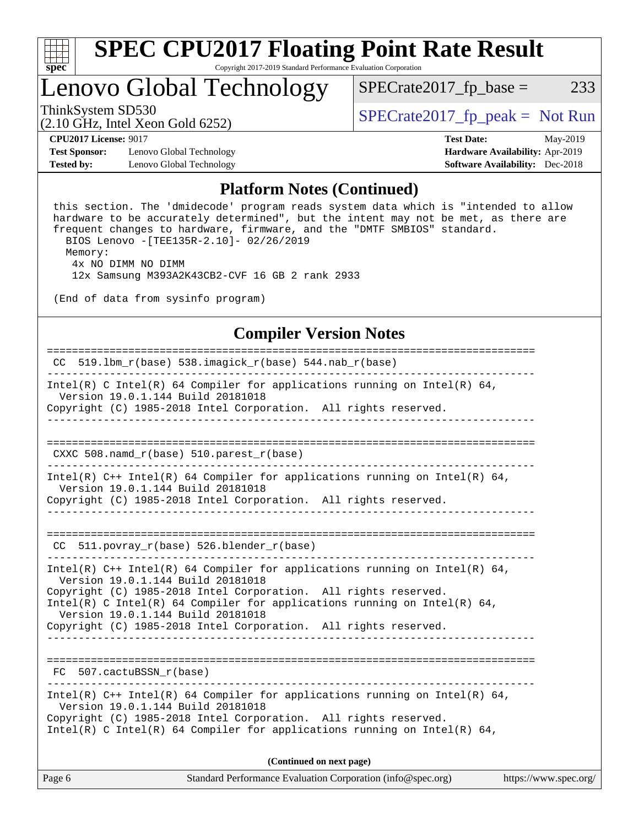

# **[SPEC CPU2017 Floating Point Rate Result](http://www.spec.org/auto/cpu2017/Docs/result-fields.html#SPECCPU2017FloatingPointRateResult)**

Copyright 2017-2019 Standard Performance Evaluation Corporation

### Lenovo Global Technology

ThinkSystem SD530  $SPECrate2017_fp\_peak = Not Run$ 

 $SPECTate2017_fp\_base = 233$ 

(2.10 GHz, Intel Xeon Gold 6252)

**[Test Sponsor:](http://www.spec.org/auto/cpu2017/Docs/result-fields.html#TestSponsor)** Lenovo Global Technology **[Hardware Availability:](http://www.spec.org/auto/cpu2017/Docs/result-fields.html#HardwareAvailability)** Apr-2019 **[Tested by:](http://www.spec.org/auto/cpu2017/Docs/result-fields.html#Testedby)** Lenovo Global Technology **[Software Availability:](http://www.spec.org/auto/cpu2017/Docs/result-fields.html#SoftwareAvailability)** Dec-2018

**[CPU2017 License:](http://www.spec.org/auto/cpu2017/Docs/result-fields.html#CPU2017License)** 9017 **[Test Date:](http://www.spec.org/auto/cpu2017/Docs/result-fields.html#TestDate)** May-2019

#### **[Platform Notes \(Continued\)](http://www.spec.org/auto/cpu2017/Docs/result-fields.html#PlatformNotes)**

 this section. The 'dmidecode' program reads system data which is "intended to allow hardware to be accurately determined", but the intent may not be met, as there are frequent changes to hardware, firmware, and the "DMTF SMBIOS" standard. BIOS Lenovo -[TEE135R-2.10]- 02/26/2019 Memory: 4x NO DIMM NO DIMM

12x Samsung M393A2K43CB2-CVF 16 GB 2 rank 2933

(End of data from sysinfo program)

#### **[Compiler Version Notes](http://www.spec.org/auto/cpu2017/Docs/result-fields.html#CompilerVersionNotes)**

| Standard Performance Evaluation Corporation (info@spec.org)<br>Page 6                                                                                                                                                                                          | https://www.spec.org/ |
|----------------------------------------------------------------------------------------------------------------------------------------------------------------------------------------------------------------------------------------------------------------|-----------------------|
| (Continued on next page)                                                                                                                                                                                                                                       |                       |
| Intel(R) C++ Intel(R) 64 Compiler for applications running on Intel(R) 64,<br>Version 19.0.1.144 Build 20181018<br>Copyright (C) 1985-2018 Intel Corporation. All rights reserved.<br>Intel(R) C Intel(R) 64 Compiler for applications running on Intel(R) 64, |                       |
| FC 507.cactuBSSN r(base)                                                                                                                                                                                                                                       |                       |
| Copyright (C) 1985-2018 Intel Corporation. All rights reserved.                                                                                                                                                                                                |                       |
| Copyright (C) 1985-2018 Intel Corporation. All rights reserved.<br>Intel(R) C Intel(R) 64 Compiler for applications running on Intel(R) 64,<br>Version 19.0.1.144 Build 20181018                                                                               |                       |
| Intel(R) C++ Intel(R) 64 Compiler for applications running on Intel(R) 64,<br>Version 19.0.1.144 Build 20181018                                                                                                                                                |                       |
| $CC$ 511.povray $r(base)$ 526.blender $r(base)$                                                                                                                                                                                                                |                       |
|                                                                                                                                                                                                                                                                |                       |
| Version 19.0.1.144 Build 20181018<br>Copyright (C) 1985-2018 Intel Corporation. All rights reserved.                                                                                                                                                           |                       |
| Intel(R) C++ Intel(R) 64 Compiler for applications running on Intel(R) 64,                                                                                                                                                                                     |                       |
| $CXXC 508.namd_r(base) 510.parest_r(base)$                                                                                                                                                                                                                     |                       |
|                                                                                                                                                                                                                                                                |                       |
| Copyright (C) 1985-2018 Intel Corporation. All rights reserved.                                                                                                                                                                                                |                       |
| Intel(R) C Intel(R) 64 Compiler for applications running on Intel(R) 64,<br>Version 19.0.1.144 Build 20181018                                                                                                                                                  |                       |
| $CC$ 519.1bm_ $r(base)$ 538.imagick_ $r(base)$ 544.nab_ $r(base)$                                                                                                                                                                                              |                       |
|                                                                                                                                                                                                                                                                |                       |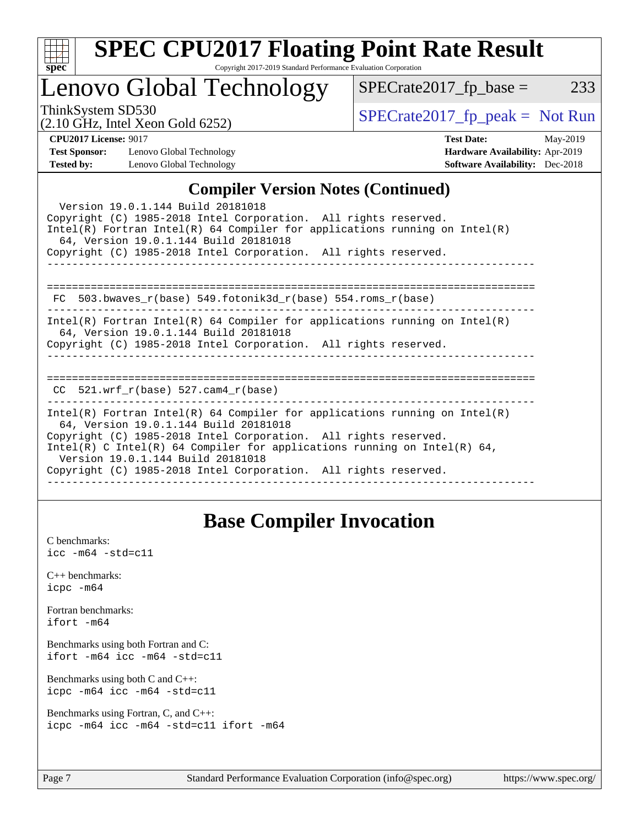| S<br>ne<br>÷ |  |  |  |  |  |  |
|--------------|--|--|--|--|--|--|

## Lenovo Global Technology

ThinkSystem SD530<br>  $\begin{array}{r} \text{SPECrate2017\_fp\_peak = Not Run} \\ \text{SPECrate2017\_fp\_peak = Not Run} \end{array}$ 

 $SPECTate2017_fp\_base = 233$ 

#### (2.10 GHz, Intel Xeon Gold 6252)

**[CPU2017 License:](http://www.spec.org/auto/cpu2017/Docs/result-fields.html#CPU2017License)** 9017 **[Test Date:](http://www.spec.org/auto/cpu2017/Docs/result-fields.html#TestDate)** May-2019 **[Test Sponsor:](http://www.spec.org/auto/cpu2017/Docs/result-fields.html#TestSponsor)** Lenovo Global Technology **[Hardware Availability:](http://www.spec.org/auto/cpu2017/Docs/result-fields.html#HardwareAvailability)** Apr-2019 **[Tested by:](http://www.spec.org/auto/cpu2017/Docs/result-fields.html#Testedby)** Lenovo Global Technology **[Software Availability:](http://www.spec.org/auto/cpu2017/Docs/result-fields.html#SoftwareAvailability)** Dec-2018

#### [Compiler Version Notes \(Continued\)](http://www.spec.org/auto/cpu2017/Docs/result-fields.html#CompilerVersionNotes)

| Complict version twics (Commuca)                                                                                                                                                                                                                                                                                                                                           |
|----------------------------------------------------------------------------------------------------------------------------------------------------------------------------------------------------------------------------------------------------------------------------------------------------------------------------------------------------------------------------|
| Version 19.0.1.144 Build 20181018<br>Copyright (C) 1985-2018 Intel Corporation. All rights reserved.<br>$Intel(R)$ Fortran Intel(R) 64 Compiler for applications running on Intel(R)<br>64, Version 19.0.1.144 Build 20181018                                                                                                                                              |
| Copyright (C) 1985-2018 Intel Corporation. All rights reserved.                                                                                                                                                                                                                                                                                                            |
| FC 503.bwaves $r(base)$ 549.fotonik3d $r(base)$ 554.roms $r(base)$                                                                                                                                                                                                                                                                                                         |
| Intel(R) Fortran Intel(R) 64 Compiler for applications running on Intel(R)<br>64, Version 19.0.1.144 Build 20181018<br>Copyright (C) 1985-2018 Intel Corporation. All rights reserved.                                                                                                                                                                                     |
| CC $521.$ wrf r(base) 527.cam4 r(base)                                                                                                                                                                                                                                                                                                                                     |
| Intel(R) Fortran Intel(R) 64 Compiler for applications running on Intel(R)<br>64, Version 19.0.1.144 Build 20181018<br>Copyright (C) 1985-2018 Intel Corporation. All rights reserved.<br>Intel(R) C Intel(R) 64 Compiler for applications running on Intel(R) 64,<br>Version 19.0.1.144 Build 20181018<br>Copyright (C) 1985-2018 Intel Corporation. All rights reserved. |
|                                                                                                                                                                                                                                                                                                                                                                            |

### **[Base Compiler Invocation](http://www.spec.org/auto/cpu2017/Docs/result-fields.html#BaseCompilerInvocation)**

[C benchmarks](http://www.spec.org/auto/cpu2017/Docs/result-fields.html#Cbenchmarks): [icc -m64 -std=c11](http://www.spec.org/cpu2017/results/res2019q2/cpu2017-20190527-14820.flags.html#user_CCbase_intel_icc_64bit_c11_33ee0cdaae7deeeab2a9725423ba97205ce30f63b9926c2519791662299b76a0318f32ddfffdc46587804de3178b4f9328c46fa7c2b0cd779d7a61945c91cd35)

[C++ benchmarks:](http://www.spec.org/auto/cpu2017/Docs/result-fields.html#CXXbenchmarks) [icpc -m64](http://www.spec.org/cpu2017/results/res2019q2/cpu2017-20190527-14820.flags.html#user_CXXbase_intel_icpc_64bit_4ecb2543ae3f1412ef961e0650ca070fec7b7afdcd6ed48761b84423119d1bf6bdf5cad15b44d48e7256388bc77273b966e5eb805aefd121eb22e9299b2ec9d9)

[Fortran benchmarks](http://www.spec.org/auto/cpu2017/Docs/result-fields.html#Fortranbenchmarks): [ifort -m64](http://www.spec.org/cpu2017/results/res2019q2/cpu2017-20190527-14820.flags.html#user_FCbase_intel_ifort_64bit_24f2bb282fbaeffd6157abe4f878425411749daecae9a33200eee2bee2fe76f3b89351d69a8130dd5949958ce389cf37ff59a95e7a40d588e8d3a57e0c3fd751)

[Benchmarks using both Fortran and C](http://www.spec.org/auto/cpu2017/Docs/result-fields.html#BenchmarksusingbothFortranandC): [ifort -m64](http://www.spec.org/cpu2017/results/res2019q2/cpu2017-20190527-14820.flags.html#user_CC_FCbase_intel_ifort_64bit_24f2bb282fbaeffd6157abe4f878425411749daecae9a33200eee2bee2fe76f3b89351d69a8130dd5949958ce389cf37ff59a95e7a40d588e8d3a57e0c3fd751) [icc -m64 -std=c11](http://www.spec.org/cpu2017/results/res2019q2/cpu2017-20190527-14820.flags.html#user_CC_FCbase_intel_icc_64bit_c11_33ee0cdaae7deeeab2a9725423ba97205ce30f63b9926c2519791662299b76a0318f32ddfffdc46587804de3178b4f9328c46fa7c2b0cd779d7a61945c91cd35)

[Benchmarks using both C and C++](http://www.spec.org/auto/cpu2017/Docs/result-fields.html#BenchmarksusingbothCandCXX): [icpc -m64](http://www.spec.org/cpu2017/results/res2019q2/cpu2017-20190527-14820.flags.html#user_CC_CXXbase_intel_icpc_64bit_4ecb2543ae3f1412ef961e0650ca070fec7b7afdcd6ed48761b84423119d1bf6bdf5cad15b44d48e7256388bc77273b966e5eb805aefd121eb22e9299b2ec9d9) [icc -m64 -std=c11](http://www.spec.org/cpu2017/results/res2019q2/cpu2017-20190527-14820.flags.html#user_CC_CXXbase_intel_icc_64bit_c11_33ee0cdaae7deeeab2a9725423ba97205ce30f63b9926c2519791662299b76a0318f32ddfffdc46587804de3178b4f9328c46fa7c2b0cd779d7a61945c91cd35)

[Benchmarks using Fortran, C, and C++:](http://www.spec.org/auto/cpu2017/Docs/result-fields.html#BenchmarksusingFortranCandCXX) [icpc -m64](http://www.spec.org/cpu2017/results/res2019q2/cpu2017-20190527-14820.flags.html#user_CC_CXX_FCbase_intel_icpc_64bit_4ecb2543ae3f1412ef961e0650ca070fec7b7afdcd6ed48761b84423119d1bf6bdf5cad15b44d48e7256388bc77273b966e5eb805aefd121eb22e9299b2ec9d9) [icc -m64 -std=c11](http://www.spec.org/cpu2017/results/res2019q2/cpu2017-20190527-14820.flags.html#user_CC_CXX_FCbase_intel_icc_64bit_c11_33ee0cdaae7deeeab2a9725423ba97205ce30f63b9926c2519791662299b76a0318f32ddfffdc46587804de3178b4f9328c46fa7c2b0cd779d7a61945c91cd35) [ifort -m64](http://www.spec.org/cpu2017/results/res2019q2/cpu2017-20190527-14820.flags.html#user_CC_CXX_FCbase_intel_ifort_64bit_24f2bb282fbaeffd6157abe4f878425411749daecae9a33200eee2bee2fe76f3b89351d69a8130dd5949958ce389cf37ff59a95e7a40d588e8d3a57e0c3fd751)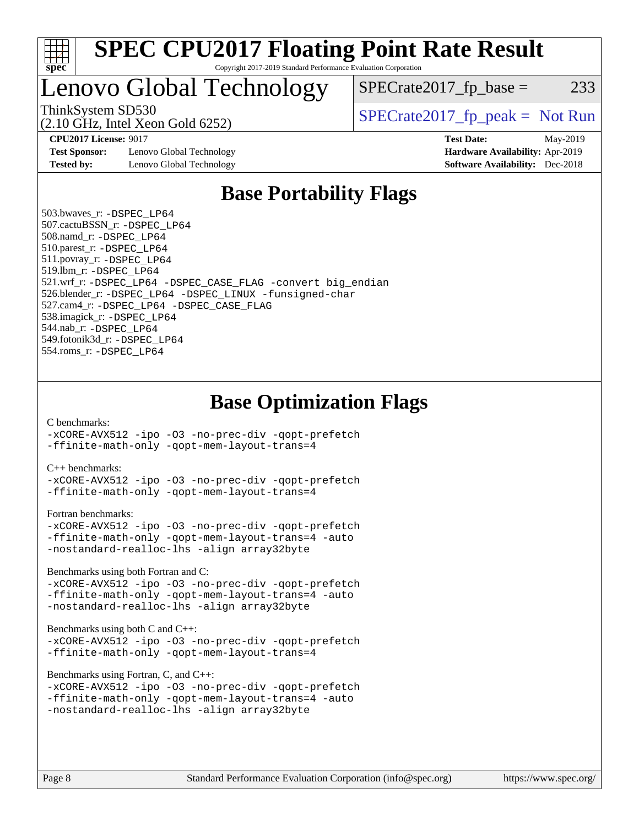

### Lenovo Global Technology

(2.10 GHz, Intel Xeon Gold 6252)

**[Test Sponsor:](http://www.spec.org/auto/cpu2017/Docs/result-fields.html#TestSponsor)** Lenovo Global Technology **[Hardware Availability:](http://www.spec.org/auto/cpu2017/Docs/result-fields.html#HardwareAvailability)** Apr-2019 **[Tested by:](http://www.spec.org/auto/cpu2017/Docs/result-fields.html#Testedby)** Lenovo Global Technology **[Software Availability:](http://www.spec.org/auto/cpu2017/Docs/result-fields.html#SoftwareAvailability)** Dec-2018

ThinkSystem SD530  $SPECrate2017$ \_fp\_peak = Not Run

 $SPECTate2017<sub>fr</sub> base = 233$ 

**[CPU2017 License:](http://www.spec.org/auto/cpu2017/Docs/result-fields.html#CPU2017License)** 9017 **[Test Date:](http://www.spec.org/auto/cpu2017/Docs/result-fields.html#TestDate)** May-2019

### **[Base Portability Flags](http://www.spec.org/auto/cpu2017/Docs/result-fields.html#BasePortabilityFlags)**

 503.bwaves\_r: [-DSPEC\\_LP64](http://www.spec.org/cpu2017/results/res2019q2/cpu2017-20190527-14820.flags.html#suite_basePORTABILITY503_bwaves_r_DSPEC_LP64) 507.cactuBSSN\_r: [-DSPEC\\_LP64](http://www.spec.org/cpu2017/results/res2019q2/cpu2017-20190527-14820.flags.html#suite_basePORTABILITY507_cactuBSSN_r_DSPEC_LP64) 508.namd\_r: [-DSPEC\\_LP64](http://www.spec.org/cpu2017/results/res2019q2/cpu2017-20190527-14820.flags.html#suite_basePORTABILITY508_namd_r_DSPEC_LP64) 510.parest\_r: [-DSPEC\\_LP64](http://www.spec.org/cpu2017/results/res2019q2/cpu2017-20190527-14820.flags.html#suite_basePORTABILITY510_parest_r_DSPEC_LP64) 511.povray\_r: [-DSPEC\\_LP64](http://www.spec.org/cpu2017/results/res2019q2/cpu2017-20190527-14820.flags.html#suite_basePORTABILITY511_povray_r_DSPEC_LP64) 519.lbm\_r: [-DSPEC\\_LP64](http://www.spec.org/cpu2017/results/res2019q2/cpu2017-20190527-14820.flags.html#suite_basePORTABILITY519_lbm_r_DSPEC_LP64) 521.wrf\_r: [-DSPEC\\_LP64](http://www.spec.org/cpu2017/results/res2019q2/cpu2017-20190527-14820.flags.html#suite_basePORTABILITY521_wrf_r_DSPEC_LP64) [-DSPEC\\_CASE\\_FLAG](http://www.spec.org/cpu2017/results/res2019q2/cpu2017-20190527-14820.flags.html#b521.wrf_r_baseCPORTABILITY_DSPEC_CASE_FLAG) [-convert big\\_endian](http://www.spec.org/cpu2017/results/res2019q2/cpu2017-20190527-14820.flags.html#user_baseFPORTABILITY521_wrf_r_convert_big_endian_c3194028bc08c63ac5d04de18c48ce6d347e4e562e8892b8bdbdc0214820426deb8554edfa529a3fb25a586e65a3d812c835984020483e7e73212c4d31a38223) 526.blender\_r: [-DSPEC\\_LP64](http://www.spec.org/cpu2017/results/res2019q2/cpu2017-20190527-14820.flags.html#suite_basePORTABILITY526_blender_r_DSPEC_LP64) [-DSPEC\\_LINUX](http://www.spec.org/cpu2017/results/res2019q2/cpu2017-20190527-14820.flags.html#b526.blender_r_baseCPORTABILITY_DSPEC_LINUX) [-funsigned-char](http://www.spec.org/cpu2017/results/res2019q2/cpu2017-20190527-14820.flags.html#user_baseCPORTABILITY526_blender_r_force_uchar_40c60f00ab013830e2dd6774aeded3ff59883ba5a1fc5fc14077f794d777847726e2a5858cbc7672e36e1b067e7e5c1d9a74f7176df07886a243d7cc18edfe67) 527.cam4\_r: [-DSPEC\\_LP64](http://www.spec.org/cpu2017/results/res2019q2/cpu2017-20190527-14820.flags.html#suite_basePORTABILITY527_cam4_r_DSPEC_LP64) [-DSPEC\\_CASE\\_FLAG](http://www.spec.org/cpu2017/results/res2019q2/cpu2017-20190527-14820.flags.html#b527.cam4_r_baseCPORTABILITY_DSPEC_CASE_FLAG) 538.imagick\_r: [-DSPEC\\_LP64](http://www.spec.org/cpu2017/results/res2019q2/cpu2017-20190527-14820.flags.html#suite_basePORTABILITY538_imagick_r_DSPEC_LP64) 544.nab\_r: [-DSPEC\\_LP64](http://www.spec.org/cpu2017/results/res2019q2/cpu2017-20190527-14820.flags.html#suite_basePORTABILITY544_nab_r_DSPEC_LP64) 549.fotonik3d\_r: [-DSPEC\\_LP64](http://www.spec.org/cpu2017/results/res2019q2/cpu2017-20190527-14820.flags.html#suite_basePORTABILITY549_fotonik3d_r_DSPEC_LP64) 554.roms\_r: [-DSPEC\\_LP64](http://www.spec.org/cpu2017/results/res2019q2/cpu2017-20190527-14820.flags.html#suite_basePORTABILITY554_roms_r_DSPEC_LP64)

**[Base Optimization Flags](http://www.spec.org/auto/cpu2017/Docs/result-fields.html#BaseOptimizationFlags)**

[C benchmarks](http://www.spec.org/auto/cpu2017/Docs/result-fields.html#Cbenchmarks):

[-xCORE-AVX512](http://www.spec.org/cpu2017/results/res2019q2/cpu2017-20190527-14820.flags.html#user_CCbase_f-xCORE-AVX512) [-ipo](http://www.spec.org/cpu2017/results/res2019q2/cpu2017-20190527-14820.flags.html#user_CCbase_f-ipo) [-O3](http://www.spec.org/cpu2017/results/res2019q2/cpu2017-20190527-14820.flags.html#user_CCbase_f-O3) [-no-prec-div](http://www.spec.org/cpu2017/results/res2019q2/cpu2017-20190527-14820.flags.html#user_CCbase_f-no-prec-div) [-qopt-prefetch](http://www.spec.org/cpu2017/results/res2019q2/cpu2017-20190527-14820.flags.html#user_CCbase_f-qopt-prefetch) [-ffinite-math-only](http://www.spec.org/cpu2017/results/res2019q2/cpu2017-20190527-14820.flags.html#user_CCbase_f_finite_math_only_cb91587bd2077682c4b38af759c288ed7c732db004271a9512da14a4f8007909a5f1427ecbf1a0fb78ff2a814402c6114ac565ca162485bbcae155b5e4258871) [-qopt-mem-layout-trans=4](http://www.spec.org/cpu2017/results/res2019q2/cpu2017-20190527-14820.flags.html#user_CCbase_f-qopt-mem-layout-trans_fa39e755916c150a61361b7846f310bcdf6f04e385ef281cadf3647acec3f0ae266d1a1d22d972a7087a248fd4e6ca390a3634700869573d231a252c784941a8)

[C++ benchmarks:](http://www.spec.org/auto/cpu2017/Docs/result-fields.html#CXXbenchmarks)

[-xCORE-AVX512](http://www.spec.org/cpu2017/results/res2019q2/cpu2017-20190527-14820.flags.html#user_CXXbase_f-xCORE-AVX512) [-ipo](http://www.spec.org/cpu2017/results/res2019q2/cpu2017-20190527-14820.flags.html#user_CXXbase_f-ipo) [-O3](http://www.spec.org/cpu2017/results/res2019q2/cpu2017-20190527-14820.flags.html#user_CXXbase_f-O3) [-no-prec-div](http://www.spec.org/cpu2017/results/res2019q2/cpu2017-20190527-14820.flags.html#user_CXXbase_f-no-prec-div) [-qopt-prefetch](http://www.spec.org/cpu2017/results/res2019q2/cpu2017-20190527-14820.flags.html#user_CXXbase_f-qopt-prefetch) [-ffinite-math-only](http://www.spec.org/cpu2017/results/res2019q2/cpu2017-20190527-14820.flags.html#user_CXXbase_f_finite_math_only_cb91587bd2077682c4b38af759c288ed7c732db004271a9512da14a4f8007909a5f1427ecbf1a0fb78ff2a814402c6114ac565ca162485bbcae155b5e4258871) [-qopt-mem-layout-trans=4](http://www.spec.org/cpu2017/results/res2019q2/cpu2017-20190527-14820.flags.html#user_CXXbase_f-qopt-mem-layout-trans_fa39e755916c150a61361b7846f310bcdf6f04e385ef281cadf3647acec3f0ae266d1a1d22d972a7087a248fd4e6ca390a3634700869573d231a252c784941a8)

[Fortran benchmarks](http://www.spec.org/auto/cpu2017/Docs/result-fields.html#Fortranbenchmarks):

```
-xCORE-AVX512 -ipo -O3 -no-prec-div -qopt-prefetch
-ffinite-math-only -qopt-mem-layout-trans=4 -auto
-nostandard-realloc-lhs -align array32byte
```
[Benchmarks using both Fortran and C](http://www.spec.org/auto/cpu2017/Docs/result-fields.html#BenchmarksusingbothFortranandC):

```
-xCORE-AVX512 -ipo -O3 -no-prec-div -qopt-prefetch
-ffinite-math-only -qopt-mem-layout-trans=4 -auto
-nostandard-realloc-lhs -align array32byte
```
[Benchmarks using both C and C++](http://www.spec.org/auto/cpu2017/Docs/result-fields.html#BenchmarksusingbothCandCXX):

[-xCORE-AVX512](http://www.spec.org/cpu2017/results/res2019q2/cpu2017-20190527-14820.flags.html#user_CC_CXXbase_f-xCORE-AVX512) [-ipo](http://www.spec.org/cpu2017/results/res2019q2/cpu2017-20190527-14820.flags.html#user_CC_CXXbase_f-ipo) [-O3](http://www.spec.org/cpu2017/results/res2019q2/cpu2017-20190527-14820.flags.html#user_CC_CXXbase_f-O3) [-no-prec-div](http://www.spec.org/cpu2017/results/res2019q2/cpu2017-20190527-14820.flags.html#user_CC_CXXbase_f-no-prec-div) [-qopt-prefetch](http://www.spec.org/cpu2017/results/res2019q2/cpu2017-20190527-14820.flags.html#user_CC_CXXbase_f-qopt-prefetch) [-ffinite-math-only](http://www.spec.org/cpu2017/results/res2019q2/cpu2017-20190527-14820.flags.html#user_CC_CXXbase_f_finite_math_only_cb91587bd2077682c4b38af759c288ed7c732db004271a9512da14a4f8007909a5f1427ecbf1a0fb78ff2a814402c6114ac565ca162485bbcae155b5e4258871) [-qopt-mem-layout-trans=4](http://www.spec.org/cpu2017/results/res2019q2/cpu2017-20190527-14820.flags.html#user_CC_CXXbase_f-qopt-mem-layout-trans_fa39e755916c150a61361b7846f310bcdf6f04e385ef281cadf3647acec3f0ae266d1a1d22d972a7087a248fd4e6ca390a3634700869573d231a252c784941a8)

[Benchmarks using Fortran, C, and C++:](http://www.spec.org/auto/cpu2017/Docs/result-fields.html#BenchmarksusingFortranCandCXX)

```
-xCORE-AVX512 -ipo -O3 -no-prec-div -qopt-prefetch
-ffinite-math-only -qopt-mem-layout-trans=4 -auto
-nostandard-realloc-lhs -align array32byte
```